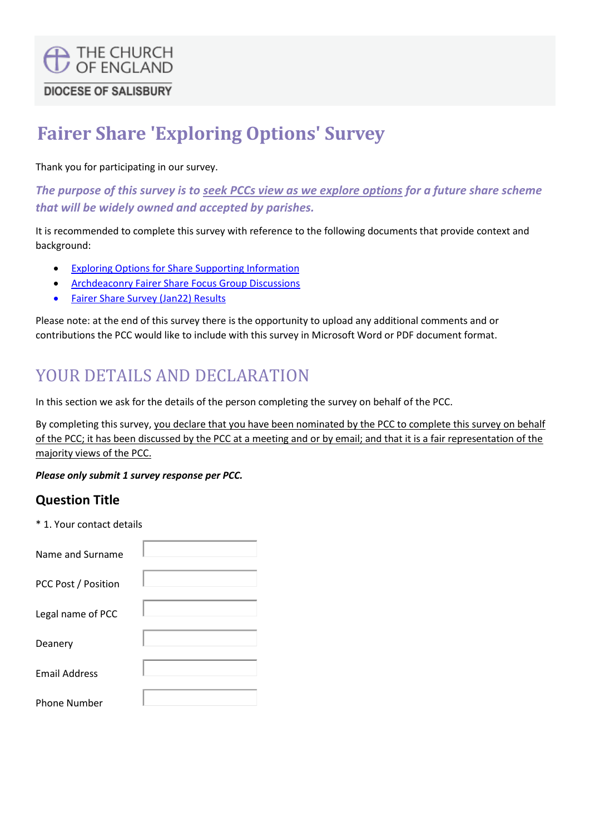# **C** THE CHURCH **DIOCESE OF SALISBURY**

# **Fairer Share 'Exploring Options' Survey**

Thank you for participating in our survey.

*The purpose of this survey is to seek PCCs view as we explore options for a future share scheme that will be widely owned and accepted by parishes.*

It is recommended to complete this survey with reference to the following documents that provide context and background:

- [Exploring Options for Share Supporting Information](https://www.salisbury.anglican.org/parishes/finance/fairer-share-in-the-diocese/exploring-options-for-share)
- [Archdeaconry Fairer Share Focus Group Discussions](https://www.salisbury.anglican.org/parishes/finance/fairer-share-in-the-diocese/Share%20Review%20Arcdeaconry%20Focus%20Groupd%20disucssions%20outcomes%20May22%20for%20WT.pdf/view)
- [Fairer Share Survey \(Jan22\) Results](https://www.salisbury.anglican.org/parishes/finance/fairer-share-in-the-diocese/fairer-share-survey-results-digest)

Please note: at the end of this survey there is the opportunity to upload any additional comments and or contributions the PCC would like to include with this survey in Microsoft Word or PDF document format.

## YOUR DETAILS AND DECLARATION

In this section we ask for the details of the person completing the survey on behalf of the PCC.

By completing this survey, you declare that you have been nominated by the PCC to complete this survey on behalf of the PCC; it has been discussed by the PCC at a meeting and or by email; and that it is a fair representation of the majority views of the PCC.

*Please only submit 1 survey response per PCC.*

#### **Question Title**

\* 1. Your contact details

| Name and Surname     |  |
|----------------------|--|
| PCC Post / Position  |  |
| Legal name of PCC    |  |
| Deanery              |  |
| <b>Email Address</b> |  |
| <b>Phone Number</b>  |  |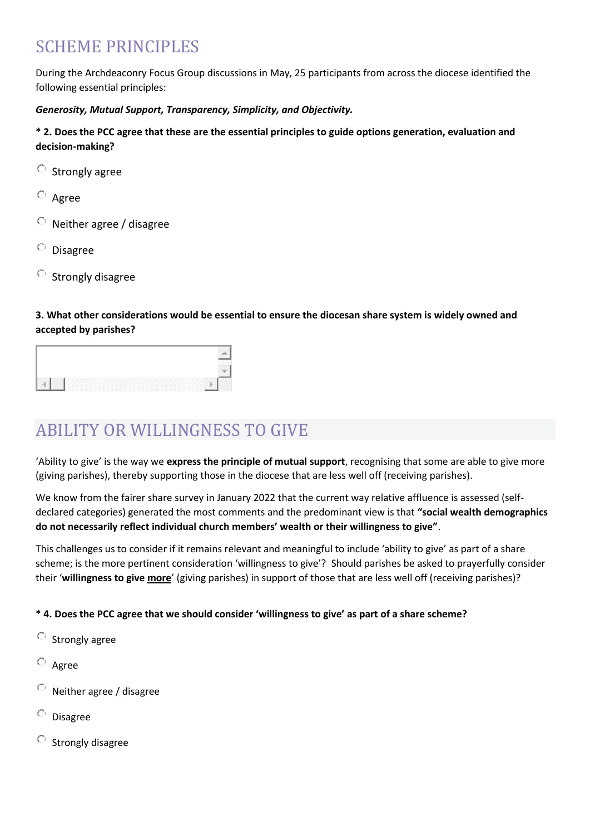## SCHEME PRINCIPLES

During the Archdeaconry Focus Group discussions in May, 25 participants from across the diocese identified the following essential principles:

#### *Generosity, Mutual Support, Transparency, Simplicity, and Objectivity.*

#### **\* 2. Does the PCC agree that these are the essential principles to guide options generation, evaluation and decision-making?**

- $\circ$  Strongly agree
- Agree
- Neither agree / disagree
- $\circ$  Disagree
- $\circ$  Strongly disagree

#### **3. What other considerations would be essential to ensure the diocesan share system is widely owned and accepted by parishes?**

|   | ---         |
|---|-------------|
| . | .<br>.<br>. |

## ABILITY OR WILLINGNESS TO GIVE

'Ability to give' is the way we **express the principle of mutual support**, recognising that some are able to give more (giving parishes), thereby supporting those in the diocese that are less well off (receiving parishes).

We know from the fairer share survey in January 2022 that the current way relative affluence is assessed (selfdeclared categories) generated the most comments and the predominant view is that **"social wealth demographics do not necessarily reflect individual church members' wealth or their willingness to give"**.

This challenges us to consider if it remains relevant and meaningful to include 'ability to give' as part of a share scheme; is the more pertinent consideration 'willingness to give'? Should parishes be asked to prayerfully consider their '**willingness to give more**' (giving parishes) in support of those that are less well off (receiving parishes)?

#### **\* 4. Does the PCC agree that we should consider 'willingness to give' as part of a share scheme?**

- $\circ$  Strongly agree
- Agree
- $\circ$ Neither agree / disagree
- $\circ$ Disagree
- $\circ$ Strongly disagree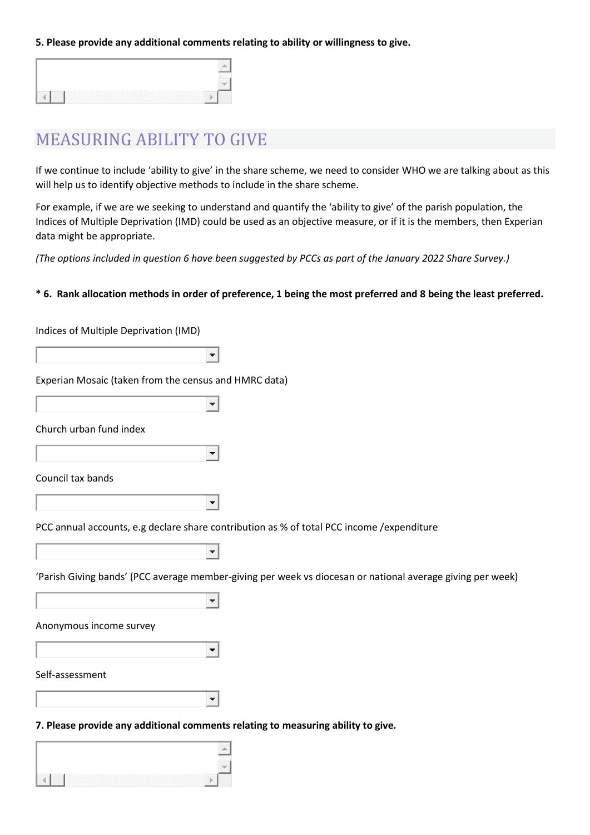**5. Please provide any additional comments relating to ability or willingness to give.**

### MEASURING ABILITY TO GIVE

If we continue to include 'ability to give' in the share scheme, we need to consider WHO we are talking about as this will help us to identify objective methods to include in the share scheme.

For example, if we are we seeking to understand and quantify the 'ability to give' of the parish population, the Indices of Multiple Deprivation (IMD) could be used as an objective measure, or if it is the members, then Experian data might be appropriate.

*(The options included in question 6 have been suggested by PCCs as part of the January 2022 Share Survey.)*

#### **\* 6. Rank allocation methods in order of preference, 1 being the most preferred and 8 being the least preferred.**

Indices of Multiple Deprivation (IMD)

Experian Mosaic (taken from the census and HMRC data)

Church urban fund index

Council tax bands

 $\blacktriangledown$ 

 $\blacktriangledown$ 

 $\blacktriangledown$ 

 $\blacktriangledown$ 

 $\overline{\phantom{a}}$ 

 $\blacktriangledown$ 

PCC annual accounts, e.g declare share contribution as % of total PCC income /expenditure

 $\blacktriangledown$ 

|  |  |  |  |  | 'Parish Giving bands' (PCC average member-giving per week vs diocesan or national average giving per week) |  |
|--|--|--|--|--|------------------------------------------------------------------------------------------------------------|--|
|--|--|--|--|--|------------------------------------------------------------------------------------------------------------|--|

Anonymous income survey

Self-assessment

 $\blacktriangledown$ 

**7. Please provide any additional comments relating to measuring ability to give.**

| ,,,,,,,,,,,,,,,,,<br>. | $\frac{1}{2} \left( \frac{1}{2} \right) \left( \frac{1}{2} \right) \left( \frac{1}{2} \right) \left( \frac{1}{2} \right)$<br>----<br>.<br>,,,,,,<br>-----<br>. |
|------------------------|----------------------------------------------------------------------------------------------------------------------------------------------------------------|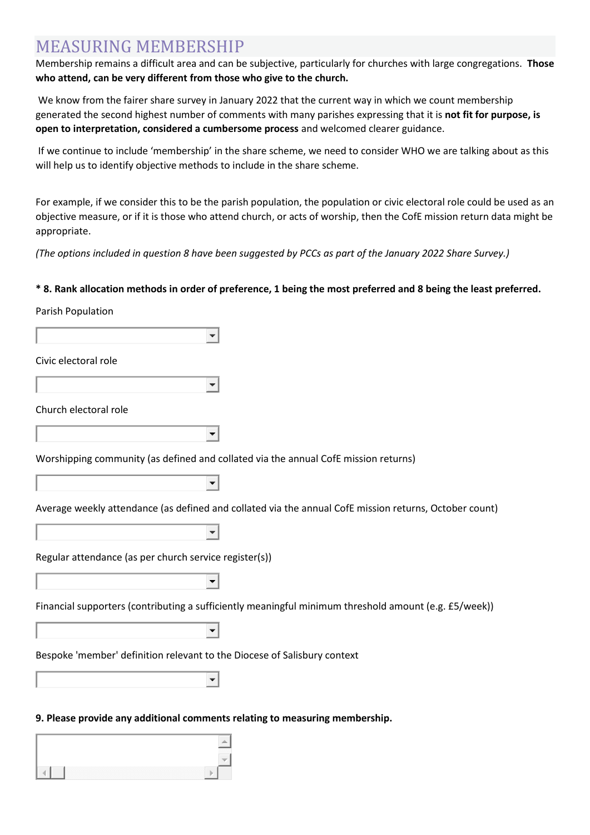### MEASURING MEMBERSHIP

Membership remains a difficult area and can be subjective, particularly for churches with large congregations. **Those who attend, can be very different from those who give to the church.**

We know from the fairer share survey in January 2022 that the current way in which we count membership generated the second highest number of comments with many parishes expressing that it is **not fit for purpose, is open to interpretation, considered a cumbersome process** and welcomed clearer guidance.

If we continue to include 'membership' in the share scheme, we need to consider WHO we are talking about as this will help us to identify objective methods to include in the share scheme.

For example, if we consider this to be the parish population, the population or civic electoral role could be used as an objective measure, or if it is those who attend church, or acts of worship, then the CofE mission return data might be appropriate.

*(The options included in question 8 have been suggested by PCCs as part of the January 2022 Share Survey.)*

#### **\* 8. Rank allocation methods in order of preference, 1 being the most preferred and 8 being the least preferred.**

#### Parish Population

| Civic electoral role                                                                                   |
|--------------------------------------------------------------------------------------------------------|
|                                                                                                        |
| Church electoral role                                                                                  |
|                                                                                                        |
| Worshipping community (as defined and collated via the annual CofE mission returns)                    |
|                                                                                                        |
| Average weekly attendance (as defined and collated via the annual CofE mission returns, October count) |
|                                                                                                        |
| Regular attendance (as per church service register(s))                                                 |
|                                                                                                        |
| Financial supporters (contributing a sufficiently meaningful minimum threshold amount (e.g. £5/week))  |
|                                                                                                        |
| Bespoke 'member' definition relevant to the Diocese of Salisbury context                               |
|                                                                                                        |

#### **9. Please provide any additional comments relating to measuring membership.**

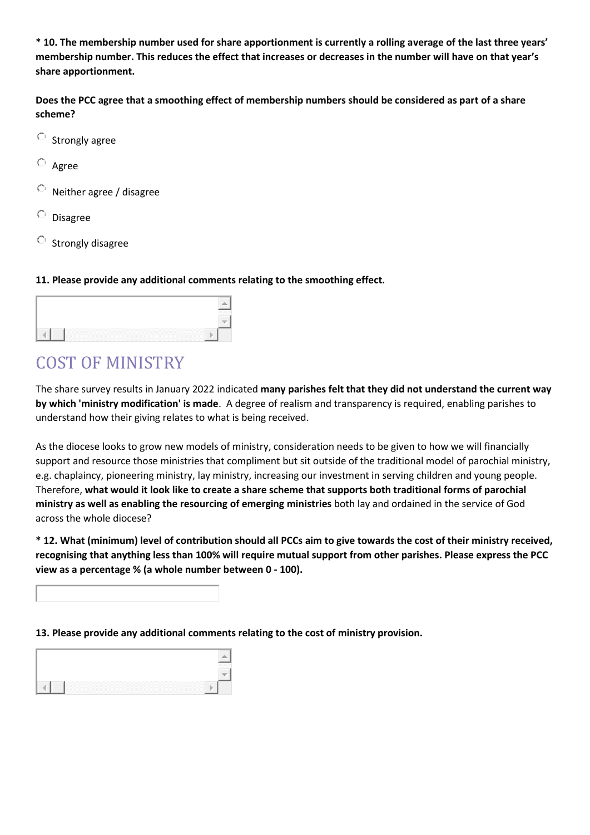**\* 10. The membership number used for share apportionment is currently a rolling average of the last three years' membership number. This reduces the effect that increases or decreases in the number will have on that year's share apportionment.**

**Does the PCC agree that a smoothing effect of membership numbers should be considered as part of a share scheme?**

- $\circ$  Strongly agree
- $O$  Agree
- Neither agree / disagree
- Disagree
- $\circ$  Strongly disagree

#### **11. Please provide any additional comments relating to the smoothing effect.**

| <b>CONTRACTOR</b><br>. | <b>CONTRACTOR</b><br>.<br>. |
|------------------------|-----------------------------|

### COST OF MINISTRY

The share survey results in January 2022 indicated **many parishes felt that they did not understand the current way by which 'ministry modification' is made**. A degree of realism and transparency is required, enabling parishes to understand how their giving relates to what is being received.

As the diocese looks to grow new models of ministry, consideration needs to be given to how we will financially support and resource those ministries that compliment but sit outside of the traditional model of parochial ministry, e.g. chaplaincy, pioneering ministry, lay ministry, increasing our investment in serving children and young people. Therefore, **what would it look like to create a share scheme that supports both traditional forms of parochial ministry as well as enabling the resourcing of emerging ministries** both lay and ordained in the service of God across the whole diocese?

**\* 12. What (minimum) level of contribution should all PCCs aim to give towards the cost of their ministry received, recognising that anything less than 100% will require mutual support from other parishes. Please express the PCC view as a percentage % (a whole number between 0 - 100).**

**13. Please provide any additional comments relating to the cost of ministry provision.**

| ,我们就会在这里,我们就会在这里,我们就会在这里,我们就会在这里,我们就会在这里,我们就会在这里,我们就会在这里,我们就会在这里,我们就会在这里,我们就会在这里 |  |
|----------------------------------------------------------------------------------|--|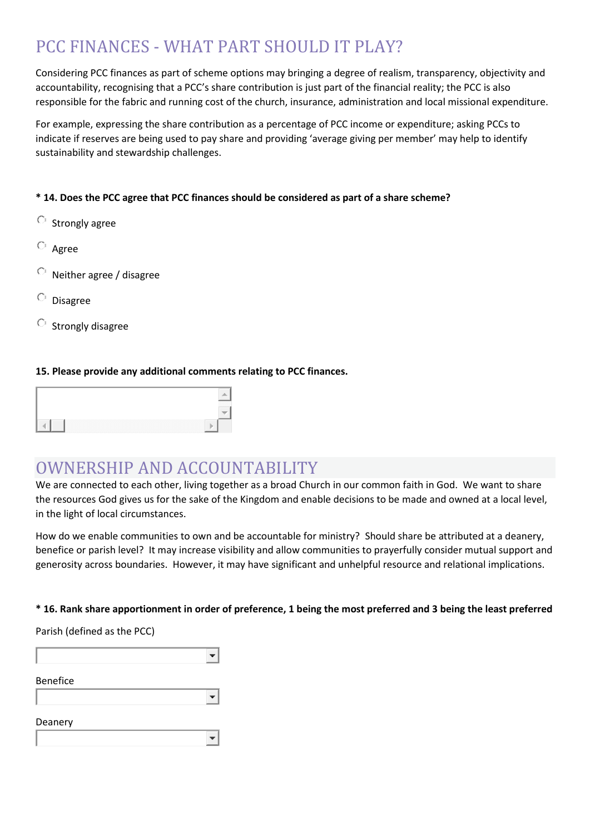## PCC FINANCES - WHAT PART SHOULD IT PLAY?

Considering PCC finances as part of scheme options may bringing a degree of realism, transparency, objectivity and accountability, recognising that a PCC's share contribution is just part of the financial reality; the PCC is also responsible for the fabric and running cost of the church, insurance, administration and local missional expenditure.

For example, expressing the share contribution as a percentage of PCC income or expenditure; asking PCCs to indicate if reserves are being used to pay share and providing 'average giving per member' may help to identify sustainability and stewardship challenges.

#### **\* 14. Does the PCC agree that PCC finances should be considered as part of a share scheme?**

- $\circ$  Strongly agree
- Agree
- Neither agree / disagree
- $\circ$  Disagree
- $\circ$  Strongly disagree

#### **15. Please provide any additional comments relating to PCC finances.**

### OWNERSHIP AND ACCOUNTABILITY

 $\blacksquare$ 

 $\blacktriangledown$ 

We are connected to each other, living together as a broad Church in our common faith in God. We want to share the resources God gives us for the sake of the Kingdom and enable decisions to be made and owned at a local level, in the light of local circumstances.

How do we enable communities to own and be accountable for ministry? Should share be attributed at a deanery, benefice or parish level? It may increase visibility and allow communities to prayerfully consider mutual support and generosity across boundaries. However, it may have significant and unhelpful resource and relational implications.

#### **\* 16. Rank share apportionment in order of preference, 1 being the most preferred and 3 being the least preferred**

| Parish (defined as the PCC) |  |  |
|-----------------------------|--|--|
|                             |  |  |
| <b>Benefice</b>             |  |  |

Parish (defined as the PCC)

| Deanery |  |  |  |
|---------|--|--|--|
|         |  |  |  |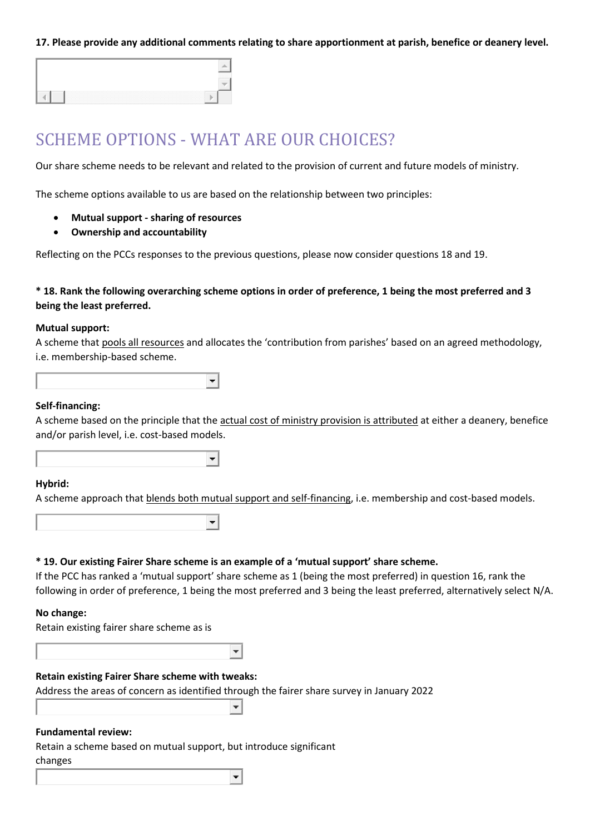**17. Please provide any additional comments relating to share apportionment at parish, benefice or deanery level.**

### SCHEME OPTIONS - WHAT ARE OUR CHOICES?

 $\blacktriangledown$ 

 $\blacktriangledown$ 

Our share scheme needs to be relevant and related to the provision of current and future models of ministry.

The scheme options available to us are based on the relationship between two principles:

- **Mutual support - sharing of resources**
- **Ownership and accountability**

Reflecting on the PCCs responses to the previous questions, please now consider questions 18 and 19.

#### **\* 18. Rank the following overarching scheme options in order of preference, 1 being the most preferred and 3 being the least preferred.**

#### **Mutual support:**

A scheme that pools all resources and allocates the 'contribution from parishes' based on an agreed methodology, i.e. membership-based scheme.

#### **Self-financing:**

A scheme based on the principle that the actual cost of ministry provision is attributed at either a deanery, benefice and/or parish level, i.e. cost-based models.

#### **Hybrid:**

A scheme approach that blends both mutual support and self-financing, i.e. membership and cost-based models.

|  | * 19. Our existing Fairer Share scheme is an example of a 'mutual support' share scheme. |  |  |  |  |
|--|------------------------------------------------------------------------------------------|--|--|--|--|
|--|------------------------------------------------------------------------------------------|--|--|--|--|

If the PCC has ranked a 'mutual support' share scheme as 1 (being the most preferred) in question 16, rank the following in order of preference, 1 being the most preferred and 3 being the least preferred, alternatively select N/A.

#### **No change:**

|  | Retain existing fairer share scheme as is |  |  |  |  |  |
|--|-------------------------------------------|--|--|--|--|--|
|--|-------------------------------------------|--|--|--|--|--|

#### **Retain existing Fairer Share scheme with tweaks:**

Address the areas of concern as identified through the fairer share survey in January 2022  $\blacktriangledown$ 

 $\overline{\phantom{a}}$ 

#### **Fundamental review:**

Retain a scheme based on mutual support, but introduce significant changes